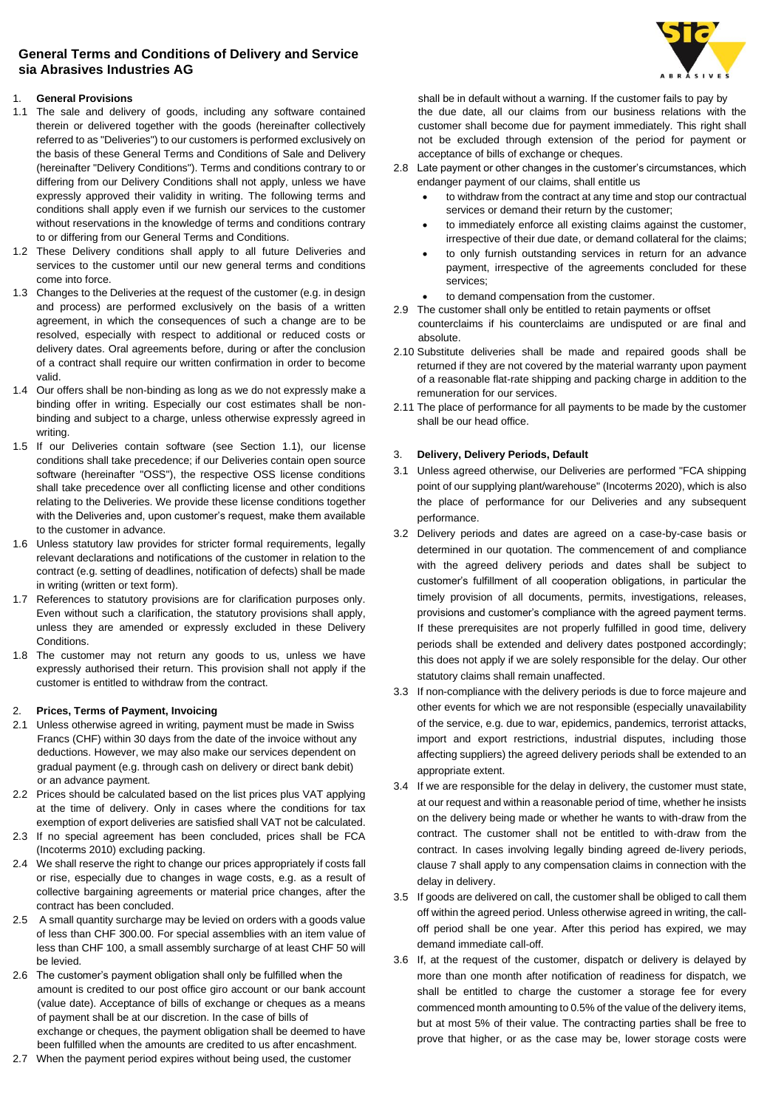## **General Terms and Conditions of Delivery and Service sia Abrasives Industries AG**



## 1. **General Provisions**

- 1.1 The sale and delivery of goods, including any software contained therein or delivered together with the goods (hereinafter collectively referred to as "Deliveries") to our customers is performed exclusively on the basis of these General Terms and Conditions of Sale and Delivery (hereinafter "Delivery Conditions"). Terms and conditions contrary to or differing from our Delivery Conditions shall not apply, unless we have expressly approved their validity in writing. The following terms and conditions shall apply even if we furnish our services to the customer without reservations in the knowledge of terms and conditions contrary to or differing from our General Terms and Conditions.
- 1.2 These Delivery conditions shall apply to all future Deliveries and services to the customer until our new general terms and conditions come into force.
- 1.3 Changes to the Deliveries at the request of the customer (e.g. in design and process) are performed exclusively on the basis of a written agreement, in which the consequences of such a change are to be resolved, especially with respect to additional or reduced costs or delivery dates. Oral agreements before, during or after the conclusion of a contract shall require our written confirmation in order to become valid.
- 1.4 Our offers shall be non-binding as long as we do not expressly make a binding offer in writing. Especially our cost estimates shall be nonbinding and subject to a charge, unless otherwise expressly agreed in writing
- 1.5 If our Deliveries contain software (see Section 1.1), our license conditions shall take precedence; if our Deliveries contain open source software (hereinafter "OSS"), the respective OSS license conditions shall take precedence over all conflicting license and other conditions relating to the Deliveries. We provide these license conditions together with the Deliveries and, upon customer's request, make them available to the customer in advance.
- 1.6 Unless statutory law provides for stricter formal requirements, legally relevant declarations and notifications of the customer in relation to the contract (e.g. setting of deadlines, notification of defects) shall be made in writing (written or text form).
- 1.7 References to statutory provisions are for clarification purposes only. Even without such a clarification, the statutory provisions shall apply, unless they are amended or expressly excluded in these Delivery Conditions.
- 1.8 The customer may not return any goods to us, unless we have expressly authorised their return. This provision shall not apply if the customer is entitled to withdraw from the contract.

### 2. **Prices, Terms of Payment, Invoicing**

- 2.1 Unless otherwise agreed in writing, payment must be made in Swiss Francs (CHF) within 30 days from the date of the invoice without any deductions. However, we may also make our services dependent on gradual payment (e.g. through cash on delivery or direct bank debit) or an advance payment.
- 2.2 Prices should be calculated based on the list prices plus VAT applying at the time of delivery. Only in cases where the conditions for tax exemption of export deliveries are satisfied shall VAT not be calculated.
- 2.3 If no special agreement has been concluded, prices shall be FCA (Incoterms 2010) excluding packing.
- 2.4 We shall reserve the right to change our prices appropriately if costs fall or rise, especially due to changes in wage costs, e.g. as a result of collective bargaining agreements or material price changes, after the contract has been concluded.
- 2.5 A small quantity surcharge may be levied on orders with a goods value of less than CHF 300.00. For special assemblies with an item value of less than CHF 100, a small assembly surcharge of at least CHF 50 will be levied.
- 2.6 The customer's payment obligation shall only be fulfilled when the amount is credited to our post office giro account or our bank account (value date). Acceptance of bills of exchange or cheques as a means of payment shall be at our discretion. In the case of bills of exchange or cheques, the payment obligation shall be deemed to have been fulfilled when the amounts are credited to us after encashment.
- 2.7 When the payment period expires without being used, the customer

shall be in default without a warning. If the customer fails to pay by the due date, all our claims from our business relations with the customer shall become due for payment immediately. This right shall not be excluded through extension of the period for payment or acceptance of bills of exchange or cheques.

- 2.8 Late payment or other changes in the customer's circumstances, which endanger payment of our claims, shall entitle us
	- to withdraw from the contract at any time and stop our contractual services or demand their return by the customer;
	- to immediately enforce all existing claims against the customer, irrespective of their due date, or demand collateral for the claims;
	- to only furnish outstanding services in return for an advance payment, irrespective of the agreements concluded for these services;
	- to demand compensation from the customer.
- 2.9 The customer shall only be entitled to retain payments or offset counterclaims if his counterclaims are undisputed or are final and absolute.
- 2.10 Substitute deliveries shall be made and repaired goods shall be returned if they are not covered by the material warranty upon payment of a reasonable flat-rate shipping and packing charge in addition to the remuneration for our services.
- 2.11 The place of performance for all payments to be made by the customer shall be our head office.

# 3. **Delivery, Delivery Periods, Default**

- 3.1 Unless agreed otherwise, our Deliveries are performed "FCA shipping point of our supplying plant/warehouse" (Incoterms 2020), which is also the place of performance for our Deliveries and any subsequent performance.
- 3.2 Delivery periods and dates are agreed on a case-by-case basis or determined in our quotation. The commencement of and compliance with the agreed delivery periods and dates shall be subject to customer's fulfillment of all cooperation obligations, in particular the timely provision of all documents, permits, investigations, releases, provisions and customer's compliance with the agreed payment terms. If these prerequisites are not properly fulfilled in good time, delivery periods shall be extended and delivery dates postponed accordingly; this does not apply if we are solely responsible for the delay. Our other statutory claims shall remain unaffected.
- 3.3 If non-compliance with the delivery periods is due to force majeure and other events for which we are not responsible (especially unavailability of the service, e.g. due to war, epidemics, pandemics, terrorist attacks, import and export restrictions, industrial disputes, including those affecting suppliers) the agreed delivery periods shall be extended to an appropriate extent.
- 3.4 If we are responsible for the delay in delivery, the customer must state, at our request and within a reasonable period of time, whether he insists on the delivery being made or whether he wants to with-draw from the contract. The customer shall not be entitled to with-draw from the contract. In cases involving legally binding agreed de-livery periods, clause 7 shall apply to any compensation claims in connection with the delay in delivery.
- 3.5 If goods are delivered on call, the customer shall be obliged to call them off within the agreed period. Unless otherwise agreed in writing, the calloff period shall be one year. After this period has expired, we may demand immediate call-off.
- 3.6 If, at the request of the customer, dispatch or delivery is delayed by more than one month after notification of readiness for dispatch, we shall be entitled to charge the customer a storage fee for every commenced month amounting to 0.5% of the value of the delivery items, but at most 5% of their value. The contracting parties shall be free to prove that higher, or as the case may be, lower storage costs were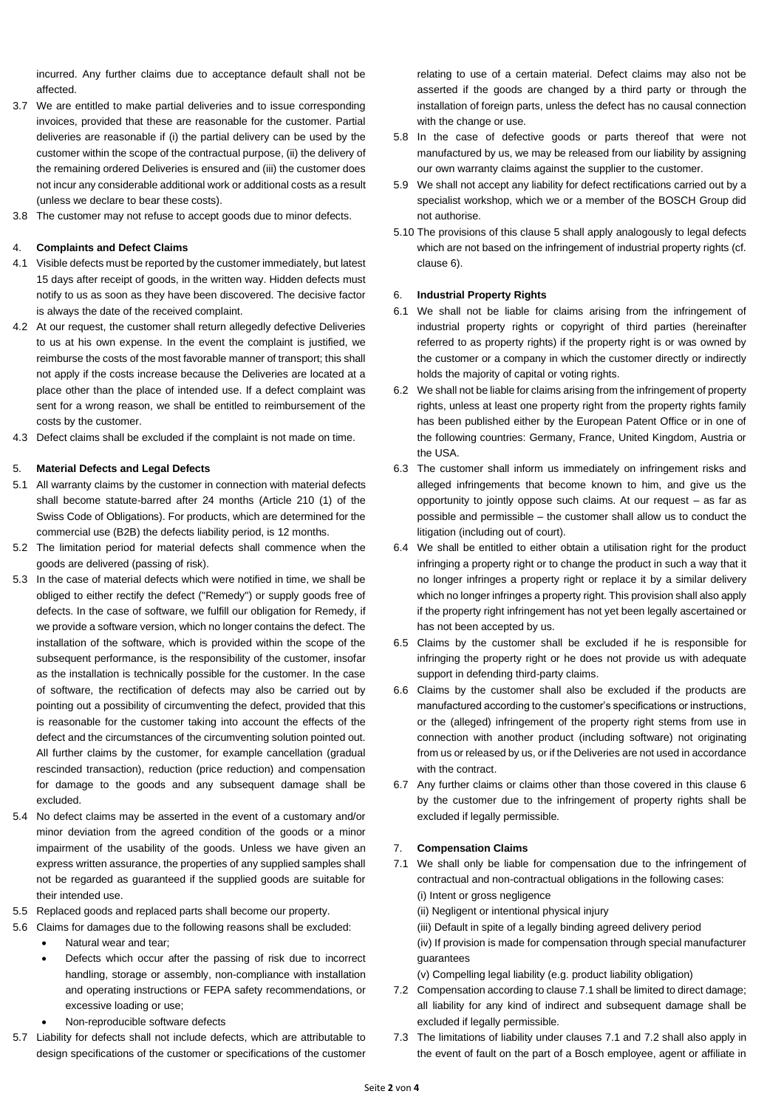incurred. Any further claims due to acceptance default shall not be affected.

- 3.7 We are entitled to make partial deliveries and to issue corresponding invoices, provided that these are reasonable for the customer. Partial deliveries are reasonable if (i) the partial delivery can be used by the customer within the scope of the contractual purpose, (ii) the delivery of the remaining ordered Deliveries is ensured and (iii) the customer does not incur any considerable additional work or additional costs as a result (unless we declare to bear these costs).
- 3.8 The customer may not refuse to accept goods due to minor defects.

#### 4. **Complaints and Defect Claims**

- 4.1 Visible defects must be reported by the customer immediately, but latest 15 days after receipt of goods, in the written way. Hidden defects must notify to us as soon as they have been discovered. The decisive factor is always the date of the received complaint.
- 4.2 At our request, the customer shall return allegedly defective Deliveries to us at his own expense. In the event the complaint is justified, we reimburse the costs of the most favorable manner of transport; this shall not apply if the costs increase because the Deliveries are located at a place other than the place of intended use. If a defect complaint was sent for a wrong reason, we shall be entitled to reimbursement of the costs by the customer.
- 4.3 Defect claims shall be excluded if the complaint is not made on time.

## 5. **Material Defects and Legal Defects**

- 5.1 All warranty claims by the customer in connection with material defects shall become statute-barred after 24 months (Article 210 (1) of the Swiss Code of Obligations). For products, which are determined for the commercial use (B2B) the defects liability period, is 12 months.
- 5.2 The limitation period for material defects shall commence when the goods are delivered (passing of risk).
- 5.3 In the case of material defects which were notified in time, we shall be obliged to either rectify the defect ("Remedy") or supply goods free of defects. In the case of software, we fulfill our obligation for Remedy, if we provide a software version, which no longer contains the defect. The installation of the software, which is provided within the scope of the subsequent performance, is the responsibility of the customer, insofar as the installation is technically possible for the customer. In the case of software, the rectification of defects may also be carried out by pointing out a possibility of circumventing the defect, provided that this is reasonable for the customer taking into account the effects of the defect and the circumstances of the circumventing solution pointed out. All further claims by the customer, for example cancellation (gradual rescinded transaction), reduction (price reduction) and compensation for damage to the goods and any subsequent damage shall be excluded.
- 5.4 No defect claims may be asserted in the event of a customary and/or minor deviation from the agreed condition of the goods or a minor impairment of the usability of the goods. Unless we have given an express written assurance, the properties of any supplied samples shall not be regarded as guaranteed if the supplied goods are suitable for their intended use.
- 5.5 Replaced goods and replaced parts shall become our property.
- 5.6 Claims for damages due to the following reasons shall be excluded:
	- Natural wear and tear:
	- Defects which occur after the passing of risk due to incorrect handling, storage or assembly, non-compliance with installation and operating instructions or FEPA safety recommendations, or excessive loading or use;
	- Non-reproducible software defects
- 5.7 Liability for defects shall not include defects, which are attributable to design specifications of the customer or specifications of the customer

relating to use of a certain material. Defect claims may also not be asserted if the goods are changed by a third party or through the installation of foreign parts, unless the defect has no causal connection with the change or use.

- 5.8 In the case of defective goods or parts thereof that were not manufactured by us, we may be released from our liability by assigning our own warranty claims against the supplier to the customer.
- 5.9 We shall not accept any liability for defect rectifications carried out by a specialist workshop, which we or a member of the BOSCH Group did not authorise.
- 5.10 The provisions of this clause 5 shall apply analogously to legal defects which are not based on the infringement of industrial property rights (cf. clause 6).

#### 6. **Industrial Property Rights**

- 6.1 We shall not be liable for claims arising from the infringement of industrial property rights or copyright of third parties (hereinafter referred to as property rights) if the property right is or was owned by the customer or a company in which the customer directly or indirectly holds the majority of capital or voting rights.
- 6.2 We shall not be liable for claims arising from the infringement of property rights, unless at least one property right from the property rights family has been published either by the European Patent Office or in one of the following countries: Germany, France, United Kingdom, Austria or the USA.
- 6.3 The customer shall inform us immediately on infringement risks and alleged infringements that become known to him, and give us the opportunity to jointly oppose such claims. At our request – as far as possible and permissible – the customer shall allow us to conduct the litigation (including out of court).
- 6.4 We shall be entitled to either obtain a utilisation right for the product infringing a property right or to change the product in such a way that it no longer infringes a property right or replace it by a similar delivery which no longer infringes a property right. This provision shall also apply if the property right infringement has not yet been legally ascertained or has not been accepted by us.
- 6.5 Claims by the customer shall be excluded if he is responsible for infringing the property right or he does not provide us with adequate support in defending third-party claims.
- 6.6 Claims by the customer shall also be excluded if the products are manufactured according to the customer's specifications or instructions, or the (alleged) infringement of the property right stems from use in connection with another product (including software) not originating from us or released by us, or if the Deliveries are not used in accordance with the contract.
- 6.7 Any further claims or claims other than those covered in this clause 6 by the customer due to the infringement of property rights shall be excluded if legally permissible.

#### 7. **Compensation Claims**

- 7.1 We shall only be liable for compensation due to the infringement of contractual and non-contractual obligations in the following cases: (i) Intent or gross negligence
	- (ii) Negligent or intentional physical injury
	- (iii) Default in spite of a legally binding agreed delivery period
	- (iv) If provision is made for compensation through special manufacturer guarantees
	- (v) Compelling legal liability (e.g. product liability obligation)
- 7.2 Compensation according to clause 7.1 shall be limited to direct damage; all liability for any kind of indirect and subsequent damage shall be excluded if legally permissible.
- 7.3 The limitations of liability under clauses 7.1 and 7.2 shall also apply in the event of fault on the part of a Bosch employee, agent or affiliate in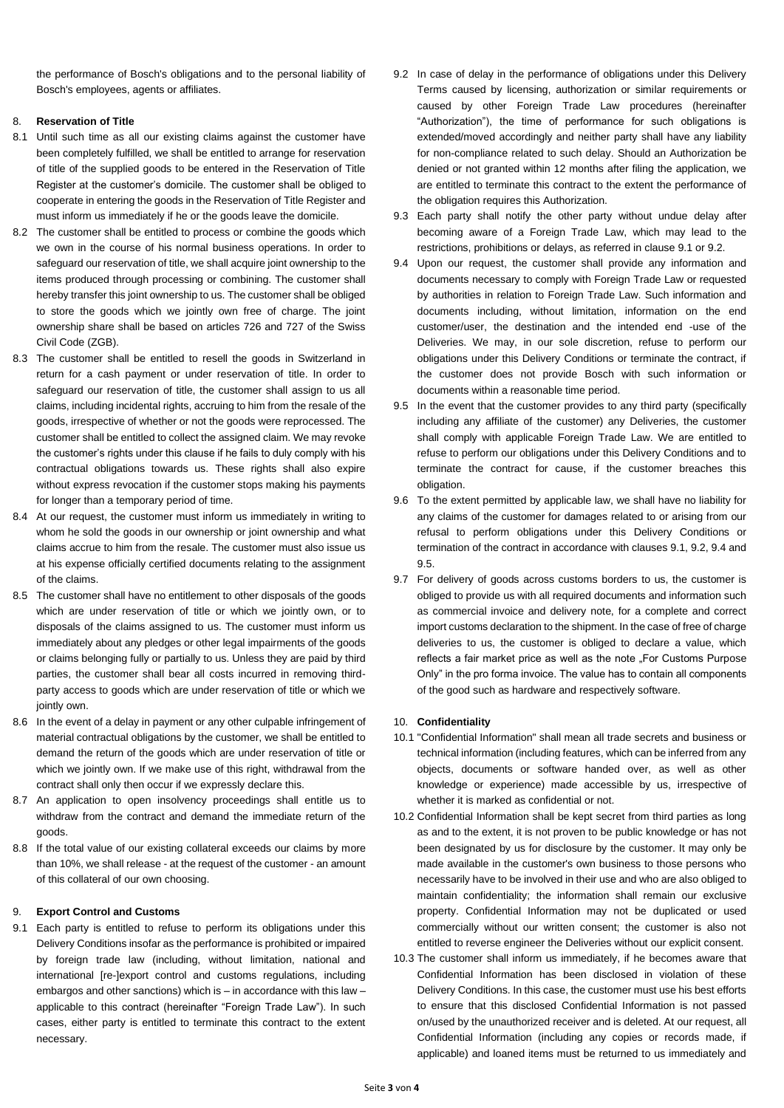the performance of Bosch's obligations and to the personal liability of Bosch's employees, agents or affiliates.

### 8. **Reservation of Title**

- 8.1 Until such time as all our existing claims against the customer have been completely fulfilled, we shall be entitled to arrange for reservation of title of the supplied goods to be entered in the Reservation of Title Register at the customer's domicile. The customer shall be obliged to cooperate in entering the goods in the Reservation of Title Register and must inform us immediately if he or the goods leave the domicile.
- 8.2 The customer shall be entitled to process or combine the goods which we own in the course of his normal business operations. In order to safeguard our reservation of title, we shall acquire joint ownership to the items produced through processing or combining. The customer shall hereby transfer this joint ownership to us. The customer shall be obliged to store the goods which we jointly own free of charge. The joint ownership share shall be based on articles 726 and 727 of the Swiss Civil Code (ZGB).
- 8.3 The customer shall be entitled to resell the goods in Switzerland in return for a cash payment or under reservation of title. In order to safeguard our reservation of title, the customer shall assign to us all claims, including incidental rights, accruing to him from the resale of the goods, irrespective of whether or not the goods were reprocessed. The customer shall be entitled to collect the assigned claim. We may revoke the customer's rights under this clause if he fails to duly comply with his contractual obligations towards us. These rights shall also expire without express revocation if the customer stops making his payments for longer than a temporary period of time.
- 8.4 At our request, the customer must inform us immediately in writing to whom he sold the goods in our ownership or joint ownership and what claims accrue to him from the resale. The customer must also issue us at his expense officially certified documents relating to the assignment of the claims.
- 8.5 The customer shall have no entitlement to other disposals of the goods which are under reservation of title or which we jointly own, or to disposals of the claims assigned to us. The customer must inform us immediately about any pledges or other legal impairments of the goods or claims belonging fully or partially to us. Unless they are paid by third parties, the customer shall bear all costs incurred in removing thirdparty access to goods which are under reservation of title or which we jointly own.
- 8.6 In the event of a delay in payment or any other culpable infringement of material contractual obligations by the customer, we shall be entitled to demand the return of the goods which are under reservation of title or which we jointly own. If we make use of this right, withdrawal from the contract shall only then occur if we expressly declare this.
- 8.7 An application to open insolvency proceedings shall entitle us to withdraw from the contract and demand the immediate return of the goods.
- 8.8 If the total value of our existing collateral exceeds our claims by more than 10%, we shall release - at the request of the customer - an amount of this collateral of our own choosing.

# 9. **Export Control and Customs**

9.1 Each party is entitled to refuse to perform its obligations under this Delivery Conditions insofar as the performance is prohibited or impaired by foreign trade law (including, without limitation, national and international [re-]export control and customs regulations, including embargos and other sanctions) which is – in accordance with this law – applicable to this contract (hereinafter "Foreign Trade Law"). In such cases, either party is entitled to terminate this contract to the extent necessary.

- 9.2 In case of delay in the performance of obligations under this Delivery Terms caused by licensing, authorization or similar requirements or caused by other Foreign Trade Law procedures (hereinafter "Authorization"), the time of performance for such obligations is extended/moved accordingly and neither party shall have any liability for non-compliance related to such delay. Should an Authorization be denied or not granted within 12 months after filing the application, we are entitled to terminate this contract to the extent the performance of the obligation requires this Authorization.
- 9.3 Each party shall notify the other party without undue delay after becoming aware of a Foreign Trade Law, which may lead to the restrictions, prohibitions or delays, as referred in clause 9.1 or 9.2.
- 9.4 Upon our request, the customer shall provide any information and documents necessary to comply with Foreign Trade Law or requested by authorities in relation to Foreign Trade Law. Such information and documents including, without limitation, information on the end customer/user, the destination and the intended end -use of the Deliveries. We may, in our sole discretion, refuse to perform our obligations under this Delivery Conditions or terminate the contract, if the customer does not provide Bosch with such information or documents within a reasonable time period.
- 9.5 In the event that the customer provides to any third party (specifically including any affiliate of the customer) any Deliveries, the customer shall comply with applicable Foreign Trade Law. We are entitled to refuse to perform our obligations under this Delivery Conditions and to terminate the contract for cause, if the customer breaches this obligation.
- 9.6 To the extent permitted by applicable law, we shall have no liability for any claims of the customer for damages related to or arising from our refusal to perform obligations under this Delivery Conditions or termination of the contract in accordance with clauses 9.1, 9.2, 9.4 and 9.5.
- 9.7 For delivery of goods across customs borders to us, the customer is obliged to provide us with all required documents and information such as commercial invoice and delivery note, for a complete and correct import customs declaration to the shipment. In the case of free of charge deliveries to us, the customer is obliged to declare a value, which reflects a fair market price as well as the note . For Customs Purpose Only" in the pro forma invoice. The value has to contain all components of the good such as hardware and respectively software.

# 10. **Confidentiality**

- 10.1 "Confidential Information" shall mean all trade secrets and business or technical information (including features, which can be inferred from any objects, documents or software handed over, as well as other knowledge or experience) made accessible by us, irrespective of whether it is marked as confidential or not.
- 10.2 Confidential Information shall be kept secret from third parties as long as and to the extent, it is not proven to be public knowledge or has not been designated by us for disclosure by the customer. It may only be made available in the customer's own business to those persons who necessarily have to be involved in their use and who are also obliged to maintain confidentiality; the information shall remain our exclusive property. Confidential Information may not be duplicated or used commercially without our written consent; the customer is also not entitled to reverse engineer the Deliveries without our explicit consent.
- 10.3 The customer shall inform us immediately, if he becomes aware that Confidential Information has been disclosed in violation of these Delivery Conditions. In this case, the customer must use his best efforts to ensure that this disclosed Confidential Information is not passed on/used by the unauthorized receiver and is deleted. At our request, all Confidential Information (including any copies or records made, if applicable) and loaned items must be returned to us immediately and